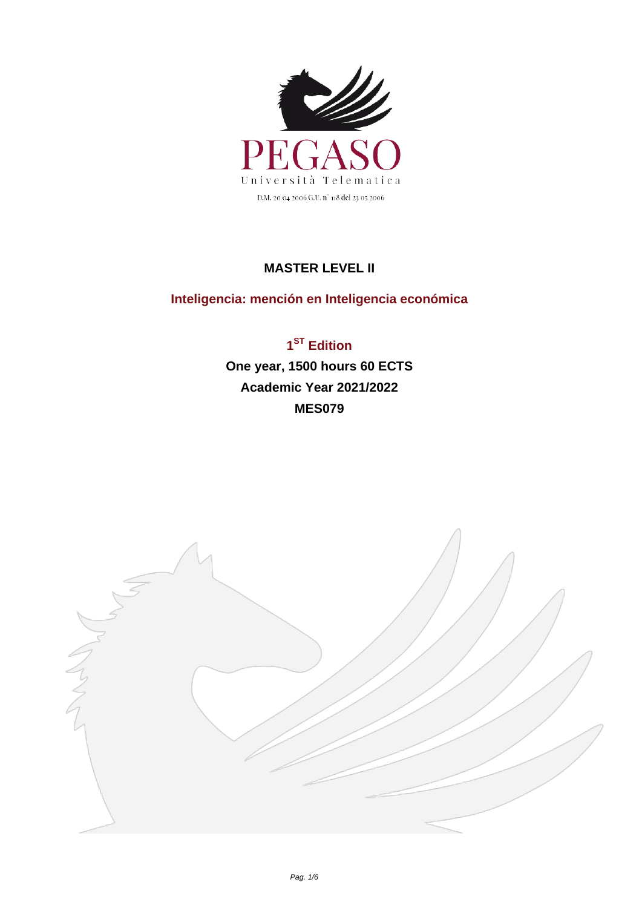

## **MASTER LEVEL II**

## **Inteligencia: mención en Inteligencia económica**

**1 ST Edition One year, 1500 hours 60 ECTS Academic Year 2021/2022 MES079**

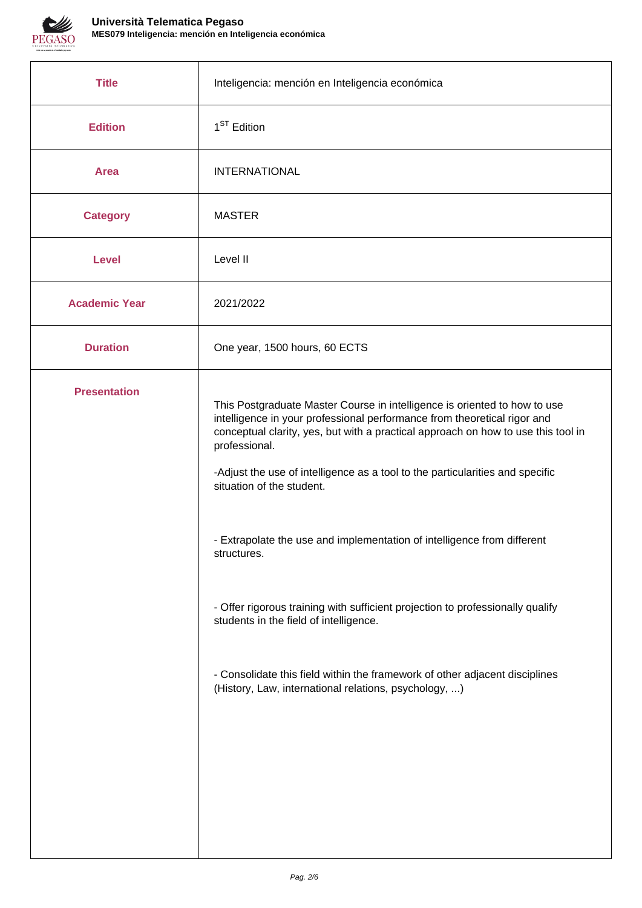

| Inteligencia: mención en Inteligencia económica                                                                                                                                                                                                                                                                                                                                                                                                                                                                                                                                                                                                                                                                                         |
|-----------------------------------------------------------------------------------------------------------------------------------------------------------------------------------------------------------------------------------------------------------------------------------------------------------------------------------------------------------------------------------------------------------------------------------------------------------------------------------------------------------------------------------------------------------------------------------------------------------------------------------------------------------------------------------------------------------------------------------------|
| $1ST$ Edition                                                                                                                                                                                                                                                                                                                                                                                                                                                                                                                                                                                                                                                                                                                           |
| <b>INTERNATIONAL</b>                                                                                                                                                                                                                                                                                                                                                                                                                                                                                                                                                                                                                                                                                                                    |
| <b>MASTER</b>                                                                                                                                                                                                                                                                                                                                                                                                                                                                                                                                                                                                                                                                                                                           |
| Level II                                                                                                                                                                                                                                                                                                                                                                                                                                                                                                                                                                                                                                                                                                                                |
| 2021/2022                                                                                                                                                                                                                                                                                                                                                                                                                                                                                                                                                                                                                                                                                                                               |
| One year, 1500 hours, 60 ECTS                                                                                                                                                                                                                                                                                                                                                                                                                                                                                                                                                                                                                                                                                                           |
| This Postgraduate Master Course in intelligence is oriented to how to use<br>intelligence in your professional performance from theoretical rigor and<br>conceptual clarity, yes, but with a practical approach on how to use this tool in<br>professional.<br>-Adjust the use of intelligence as a tool to the particularities and specific<br>situation of the student.<br>- Extrapolate the use and implementation of intelligence from different<br>structures.<br>- Offer rigorous training with sufficient projection to professionally qualify<br>students in the field of intelligence.<br>- Consolidate this field within the framework of other adjacent disciplines<br>(History, Law, international relations, psychology, ) |
|                                                                                                                                                                                                                                                                                                                                                                                                                                                                                                                                                                                                                                                                                                                                         |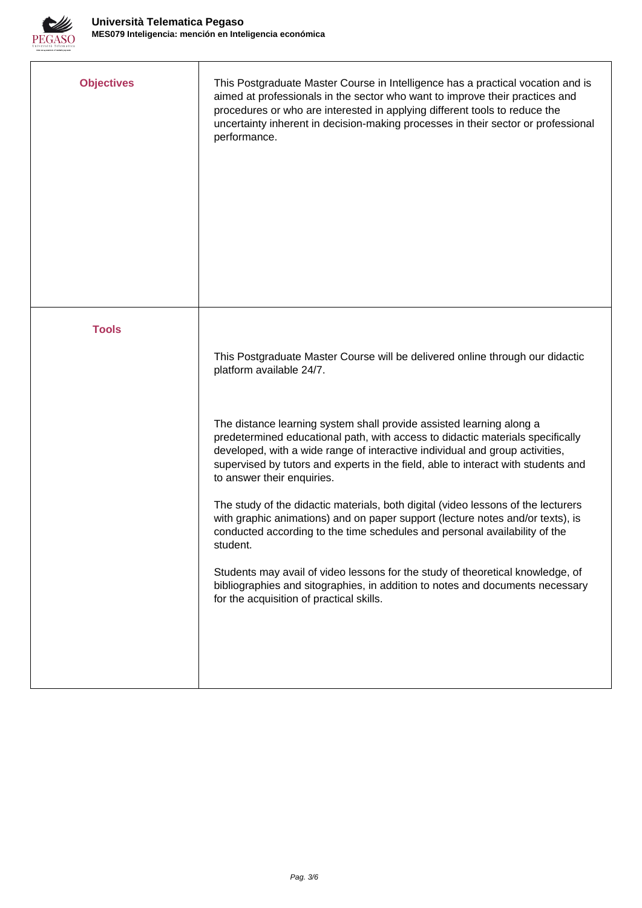

| <b>Objectives</b> | This Postgraduate Master Course in Intelligence has a practical vocation and is<br>aimed at professionals in the sector who want to improve their practices and<br>procedures or who are interested in applying different tools to reduce the<br>uncertainty inherent in decision-making processes in their sector or professional<br>performance.        |
|-------------------|-----------------------------------------------------------------------------------------------------------------------------------------------------------------------------------------------------------------------------------------------------------------------------------------------------------------------------------------------------------|
| <b>Tools</b>      |                                                                                                                                                                                                                                                                                                                                                           |
|                   | This Postgraduate Master Course will be delivered online through our didactic<br>platform available 24/7.                                                                                                                                                                                                                                                 |
|                   | The distance learning system shall provide assisted learning along a<br>predetermined educational path, with access to didactic materials specifically<br>developed, with a wide range of interactive individual and group activities,<br>supervised by tutors and experts in the field, able to interact with students and<br>to answer their enquiries. |
|                   | The study of the didactic materials, both digital (video lessons of the lecturers<br>with graphic animations) and on paper support (lecture notes and/or texts), is<br>conducted according to the time schedules and personal availability of the<br>student.                                                                                             |
|                   | Students may avail of video lessons for the study of theoretical knowledge, of<br>bibliographies and sitographies, in addition to notes and documents necessary<br>for the acquisition of practical skills.                                                                                                                                               |
|                   |                                                                                                                                                                                                                                                                                                                                                           |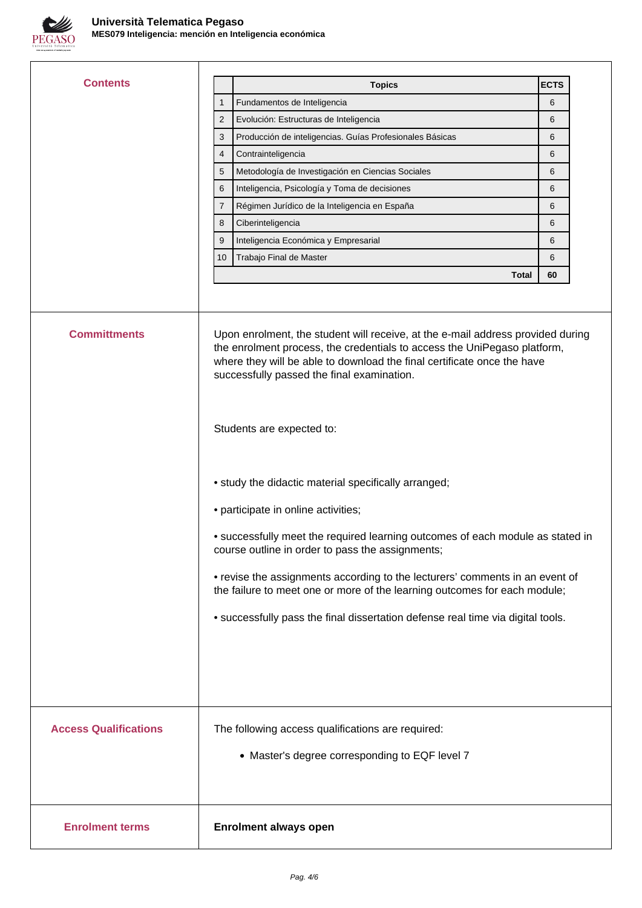

| <b>Contents</b>              | <b>Topics</b>                                                                                                                                                                                                                                                                                                                                                                                                                                                                     | <b>ECTS</b> |
|------------------------------|-----------------------------------------------------------------------------------------------------------------------------------------------------------------------------------------------------------------------------------------------------------------------------------------------------------------------------------------------------------------------------------------------------------------------------------------------------------------------------------|-------------|
|                              | Fundamentos de Inteligencia<br>$\mathbf{1}$                                                                                                                                                                                                                                                                                                                                                                                                                                       | 6           |
|                              | Evolución: Estructuras de Inteligencia<br>$\overline{2}$                                                                                                                                                                                                                                                                                                                                                                                                                          | 6           |
|                              | 3<br>Producción de inteligencias. Guías Profesionales Básicas                                                                                                                                                                                                                                                                                                                                                                                                                     | 6           |
|                              | Contrainteligencia<br>4                                                                                                                                                                                                                                                                                                                                                                                                                                                           | 6           |
|                              | Metodología de Investigación en Ciencias Sociales<br>5                                                                                                                                                                                                                                                                                                                                                                                                                            | 6           |
|                              | 6<br>Inteligencia, Psicología y Toma de decisiones                                                                                                                                                                                                                                                                                                                                                                                                                                | 6           |
|                              | Régimen Jurídico de la Inteligencia en España<br>7                                                                                                                                                                                                                                                                                                                                                                                                                                | 6           |
|                              | 8<br>Ciberinteligencia                                                                                                                                                                                                                                                                                                                                                                                                                                                            | 6           |
|                              | Inteligencia Económica y Empresarial<br>9                                                                                                                                                                                                                                                                                                                                                                                                                                         | 6           |
|                              | Trabajo Final de Master<br>10                                                                                                                                                                                                                                                                                                                                                                                                                                                     | 6           |
|                              | Total                                                                                                                                                                                                                                                                                                                                                                                                                                                                             | 60          |
| <b>Committments</b>          | Upon enrolment, the student will receive, at the e-mail address provided during<br>the enrolment process, the credentials to access the UniPegaso platform,<br>where they will be able to download the final certificate once the have<br>successfully passed the final examination.<br>Students are expected to:                                                                                                                                                                 |             |
|                              | • study the didactic material specifically arranged;<br>• participate in online activities;<br>• successfully meet the required learning outcomes of each module as stated in<br>course outline in order to pass the assignments;<br>• revise the assignments according to the lecturers' comments in an event of<br>the failure to meet one or more of the learning outcomes for each module;<br>• successfully pass the final dissertation defense real time via digital tools. |             |
| <b>Access Qualifications</b> | The following access qualifications are required:<br>• Master's degree corresponding to EQF level 7                                                                                                                                                                                                                                                                                                                                                                               |             |
| <b>Enrolment terms</b>       | <b>Enrolment always open</b>                                                                                                                                                                                                                                                                                                                                                                                                                                                      |             |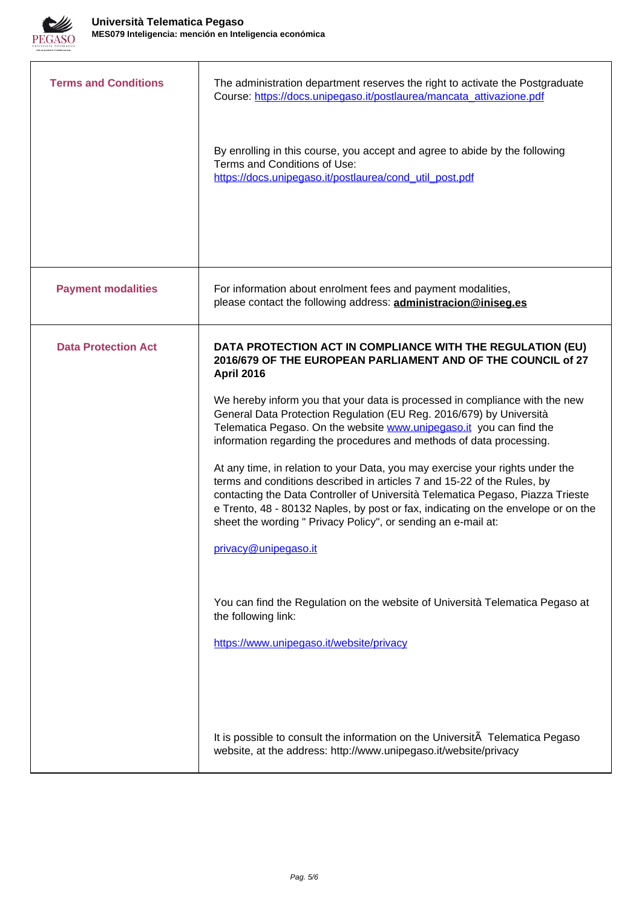

| <b>Terms and Conditions</b> | The administration department reserves the right to activate the Postgraduate<br>Course: https://docs.unipegaso.it/postlaurea/mancata_attivazione.pdf                                                                                                                                                                                                                                                                                                                                                                                                                                                                                                                                                                                                                                                                                                                                                                                                             |
|-----------------------------|-------------------------------------------------------------------------------------------------------------------------------------------------------------------------------------------------------------------------------------------------------------------------------------------------------------------------------------------------------------------------------------------------------------------------------------------------------------------------------------------------------------------------------------------------------------------------------------------------------------------------------------------------------------------------------------------------------------------------------------------------------------------------------------------------------------------------------------------------------------------------------------------------------------------------------------------------------------------|
|                             | By enrolling in this course, you accept and agree to abide by the following<br>Terms and Conditions of Use:<br>https://docs.unipegaso.it/postlaurea/cond_util_post.pdf                                                                                                                                                                                                                                                                                                                                                                                                                                                                                                                                                                                                                                                                                                                                                                                            |
| <b>Payment modalities</b>   | For information about enrolment fees and payment modalities,<br>please contact the following address: administracion@iniseg.es                                                                                                                                                                                                                                                                                                                                                                                                                                                                                                                                                                                                                                                                                                                                                                                                                                    |
| <b>Data Protection Act</b>  | DATA PROTECTION ACT IN COMPLIANCE WITH THE REGULATION (EU)<br>2016/679 OF THE EUROPEAN PARLIAMENT AND OF THE COUNCIL of 27<br><b>April 2016</b><br>We hereby inform you that your data is processed in compliance with the new<br>General Data Protection Regulation (EU Reg. 2016/679) by Università<br>Telematica Pegaso. On the website www.unipegaso.it you can find the<br>information regarding the procedures and methods of data processing.<br>At any time, in relation to your Data, you may exercise your rights under the<br>terms and conditions described in articles 7 and 15-22 of the Rules, by<br>contacting the Data Controller of Università Telematica Pegaso, Piazza Trieste<br>e Trento, 48 - 80132 Naples, by post or fax, indicating on the envelope or on the<br>sheet the wording " Privacy Policy", or sending an e-mail at:<br>privacy@unipegaso.it<br>You can find the Regulation on the website of Università Telematica Pegaso at |
|                             | the following link:<br>https://www.unipegaso.it/website/privacy                                                                                                                                                                                                                                                                                                                                                                                                                                                                                                                                                                                                                                                                                                                                                                                                                                                                                                   |
|                             | It is possible to consult the information on the UniversitA Telematica Pegaso<br>website, at the address: http://www.unipegaso.it/website/privacy                                                                                                                                                                                                                                                                                                                                                                                                                                                                                                                                                                                                                                                                                                                                                                                                                 |